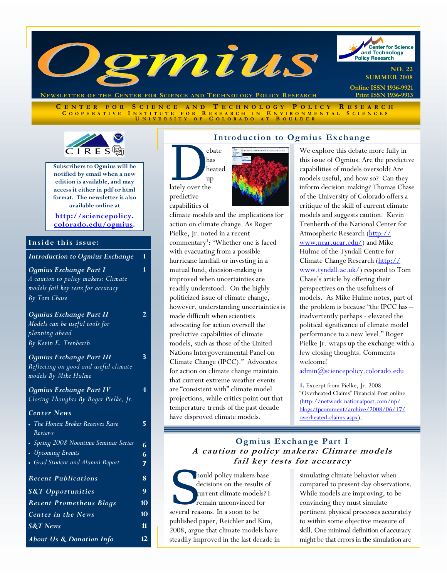

**NEWSLETTER OF THE CENTER FOR SCIENCE AND T ECHNOLOGY POLICY R ESEARCH**

**C ENTER FOR S CIENCE AND T ECHNOLOGY P OLICY R ESEARCH C OOPERATIVE I NSTITUTE FOR R ESEARCH I N E NVIRONMENTAL S CIENCES U NIVERSITY O F C OLORADO A T B OULDER**



**Subscribers to Ogmius will be notified by email when a new edition is available, and may access it either in pdf or html format. The newsletter is also available online at** 

**http://sciencepolicy. [colorado.edu/ogmius.](http://sciencepolicy.colorado.edu/ogmius)** 

### **Inside this issue:**

| <b>Introduction to Ogmius Exchange</b>                                                                              | $\mathbf{1}$ |
|---------------------------------------------------------------------------------------------------------------------|--------------|
| Ogmius Exchange Part I<br>A caution to policy makers: Climate<br>models fail key tests for accuracy<br>By Tom Chase | 1            |
| Ogmius Exchange Part II<br>Models can be useful tools for<br>planning ahead<br>By Kevin E. Trenberth                | 2            |
| Ogmius Exchange Part III<br>Reflecting on good and useful climate<br>models By Mike Hulme                           | з            |
| Ogmius Exchange Part IV<br>Closing Thoughts By Roger Pielke, Jr.                                                    | 4            |
| <b>Center News</b><br>• The Honest Broker Receives Rave<br>Reviews                                                  | 5            |
| • Spring 2008 Noontime Seminar Series                                                                               | 6            |
| • Upcoming Evemts                                                                                                   | 6            |
| • Grad Student and Alumni Report                                                                                    | 7            |
| <b>Recent Publications</b>                                                                                          | 8            |
| <b>S&amp;T</b> Opportunities                                                                                        | 9            |
| <b>Recent Prometheus Blogs</b>                                                                                      | 10           |
| <b>Center in the News</b>                                                                                           | 10           |
| <b>S&amp;T News</b>                                                                                                 | 11           |
| <b>About Us &amp; Donation Info</b>                                                                                 | 12           |

### **Introduction to Ogmius Exchange**

D ebate has heated up lately over the predictive capabilities of



climate models and the implications for action on climate change. As Roger Pielke, Jr. noted in a recent commentary**<sup>1</sup>** : "Whether one is faced with evacuating from a possible hurricane landfall or investing in a mutual fund, decision-making is improved when uncertainties are readily understood. On the highly politicized issue of climate change, however, understanding uncertainties is made difficult when scientists advocating for action oversell the predictive capabilities of climate models, such as those of the United Nations Intergovernmental Panel on Climate Change (IPCC)." Advocates for action on climate change maintain that current extreme weather events are "consistent with" climate model projections, while critics point out that temperature trends of the past decade have disproved climate models.

### We explore this debate more fully in this issue of Ogmius. Are the predictive capabilities of models oversold? Are models useful, and how so? Can they inform decision-making? Thomas Chase of the University of Colorado offers a critique of the skill of current climate models and suggests caution. Kevin Trenberth of the National Center for Atmospheric Research (http:// [www.ncar.ucar.edu/\) and Mike](http://www.ncar.ucar.edu/) Hulme of the Tyndall Centre for Climate Change Research (http:// [www.tyndall.ac.uk/\) respond to To](http://www.tyndall.ac.uk/)m Chase's article by offering their perspectives on the usefulness of models. As Mike Hulme notes, part of the problem is because "the IPCC has – inadvertently perhaps - elevated the political significance of climate model performance to a new level." Roger Pielke Jr. wraps up the exchange with a few closing thoughts. Comments welcome!

[admin@sciencepolicy.colorado.edu](mailto:admin@sciencepolicy.colorado.edu)

**1.** Excerpt from Pielke, Jr. 2008. "Overheated Claims" Financial Post online (http://network.nationalpost.com/np/ [blogs/fpcomment/archive/2008/06/17/](http://network.nationalpost.com/np/blogs/fpcomment/archive/2008/06/17/overheated-claims.aspx) overheated-claims.aspx).

# **Ogmius Exchange Part I A caution to policy makers: Climate models fail key tests for accuracy**

hould policy makers base decisions on the results of current climate models? I remain unconvinced for several reasons. In a soon to be published paper, Reichler and Kim, 2008, argue that climate models have steadily improved in the last decade in

simulating climate behavior when compared to present day observations. While models are improving, to be convincing they must simulate pertinent physical processes accurately to within some objective measure of skill. One minimal definition of accuracy might be that errors in the simulation are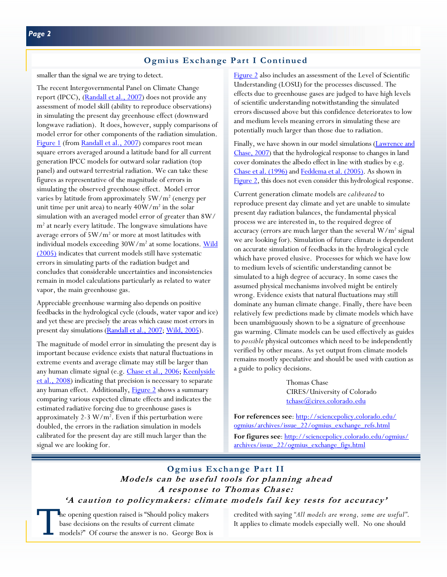### **Ogmius Exchange Part I Continued**

smaller than the signal we are trying to detect.

The recent Intergovernmental Panel on Climate Change report (IPCC), [\(Randall et al., 2007\)](http://sciencepolicy.colorado.edu/ogmius/archives/issue_22/ogmius_exchange_refs.html) does not provide any assessment of model skill (ability to reproduce observations) in simulating the present day greenhouse effect (downward longwave radiation). It does, however, supply comparisons of model error for other components of the radiation simulation. [Figure 1 \(](http://sciencepolicy.colorado.edu/ogmius/archives/issue_22/ogmius_exchange_figs.html)from [Randall et al., 2007\)](http://sciencepolicy.colorado.edu/ogmius/archives/issue_22/ogmius_exchange_refs.html) compares root mean square errors averaged around a latitude band for all current generation IPCC models for outward solar radiation (top panel) and outward terrestrial radiation. We can take these figures as representative of the magnitude of errors in simulating the observed greenhouse effect. Model error varies by latitude from approximately 5W/m<sup>2</sup> (energy per unit time per unit area) to nearly  $40W/m^2$  in the solar simulation with an averaged model error of greater than 8W/ m2 at nearly every latitude. The longwave simulations have average errors of  $5W/m^2$  or more at most latitudes with individual models exceeding 30W/m<sup>2</sup> at some locations. Wild [\(2005\) ind](http://sciencepolicy.colorado.edu/ogmius/archives/issue_22/ogmius_exchange_refs.html)icates that current models still have systematic errors in simulating parts of the radiation budget and concludes that considerable uncertainties and inconsistencies remain in model calculations particularly as related to water vapor, the main greenhouse gas.

Appreciable greenhouse warming also depends on positive feedbacks in the hydrological cycle (clouds, water vapor and ice) and yet these are precisely the areas which cause most errors in present day simulations [\(Randall et al., 2007; Wild, 2005\).](http://sciencepolicy.colorado.edu/ogmius/archives/issue_22/ogmius_exchange_refs.html) 

The magnitude of model error in simulating the present day is important because evidence exists that natural fluctuations in extreme events and average climate may still be larger than any human climate signal (e.g[. Chase et al., 2006; Keenlyside](http://sciencepolicy.colorado.edu/ogmius/archives/issue_22/ogmius_exchange_refs.html)  [et al., 2008\)](http://sciencepolicy.colorado.edu/ogmius/archives/issue_22/ogmius_exchange_refs.html) indicating that precision is necessary to separate any human effect. Additionally, **Figure 2** shows a summary comparing various expected climate effects and indicates the estimated radiative forcing due to greenhouse gases is approximately 2-3 W/m<sup>2</sup>. Even if this perturbation were doubled, the errors in the radiation simulation in models calibrated for the present day are still much larger than the signal we are looking for.

[Figure 2 als](http://sciencepolicy.colorado.edu/ogmius/archives/issue_22/ogmius_exchange_figs.html#fig2)o includes an assessment of the Level of Scientific Understanding (LOSU) for the processes discussed. The effects due to greenhouse gases are judged to have high levels of scientific understanding notwithstanding the simulated errors discussed above but this confidence deteriorates to low and medium levels meaning errors in simulating these are potentially much larger than those due to radiation.

Finally, we have shown in our model simulations (Lawrence and [Chase, 2007\) t](http://sciencepolicy.colorado.edu/ogmius/archives/issue_22/ogmius_exchange_refs.html#fig2)hat the hydrological response to changes in land cover dominates the albedo effect in line with studies by e.g. [Chase et al. \(1996\)](http://sciencepolicy.colorado.edu/ogmius/archives/issue_22/ogmius_exchange_refs.html#fig2) an[d Feddema et al. \(2005\).](http://sciencepolicy.colorado.edu/ogmius/archives/issue_22/ogmius_exchange_refs.html#fig2) As shown in [Figure 2,](http://sciencepolicy.colorado.edu/ogmius/archives/issue_22/ogmius_exchange_figs.html#fig2) this does not even consider this hydrological response.

Current generation climate models are *calibrated* to reproduce present day climate and yet are unable to simulate present day radiation balances, the fundamental physical process we are interested in, to the required degree of accuracy (errors are much larger than the several  $W/m^2$  signal we are looking for). Simulation of future climate is dependent on accurate simulation of feedbacks in the hydrological cycle which have proved elusive. Processes for which we have low to medium levels of scientific understanding cannot be simulated to a high degree of accuracy. In some cases the assumed physical mechanisms involved might be entirely wrong. Evidence exists that natural fluctuations may still dominate any human climate change. Finally, there have been relatively few predictions made by climate models which have been unambiguously shown to be a signature of greenhouse gas warming. Climate models can be used effectively as guides to *possible* physical outcomes which need to be independently verified by other means. As yet output from climate models remains mostly speculative and should be used with caution as a guide to policy decisions.

> Thomas Chase CIRES/University of Colorado [tchase@cires.colorado.edu](mailto:tchase@cires.colorado.edu)

For references see: http://sciencepolicy.colorado.edu/ [ogmius/archives/issue\\_22/ogmius\\_exchange\\_refs.html](http://sciencepolicy.colorado.edu/ogmius/archives/issue_22/ogmius_exchange_refs.html) For figures see: http://sciencepolicy.colorado.edu/ogmius/ [archives/issue\\_22/ogmius\\_exchange\\_figs.html](http://sciencepolicy.colorado.edu/ogmius/archives/issue_22/ogmius_exchange_figs.html)

# **Ogmius Exchange Part II Models can be useful tools for planning ahead A response to Thomas Chase: 'A caution to policymakers: climate models fail key tests for accuracy'**

The opening question raised is "Should policy makers<br>base decisions on the results of current climate<br>models?" Of course the answer is no. George Box is base decisions on the results of current climate

credited with saying *"All models are wrong, some are useful"*. It applies to climate models especially well. No one should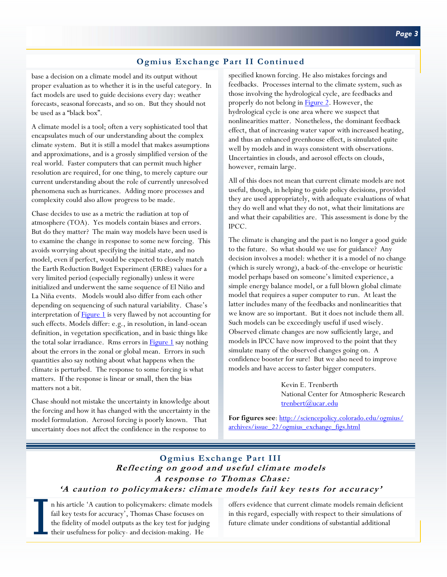### **Ogmius Exchange Part II Continued**

base a decision on a climate model and its output without proper evaluation as to whether it is in the useful category. In fact models are used to guide decisions every day: weather forecasts, seasonal forecasts, and so on. But they should not be used as a "black box".

A climate model is a tool; often a very sophisticated tool that encapsulates much of our understanding about the complex climate system. But it is still a model that makes assumptions and approximations, and is a grossly simplified version of the real world. Faster computers that can permit much higher resolution are required, for one thing, to merely capture our current understanding about the role of currently unresolved phenomena such as hurricanes. Adding more processes and complexity could also allow progress to be made.

Chase decides to use as a metric the radiation at top of atmosphere (TOA). Yes models contain biases and errors. But do they matter? The main way models have been used is to examine the change in response to some new forcing. This avoids worrying about specifying the initial state, and no model, even if perfect, would be expected to closely match the Earth Reduction Budget Experiment (ERBE) values for a very limited period (especially regionally) unless it were initialized and underwent the same sequence of El Niño and La Niña events. Models would also differ from each other depending on sequencing of such natural variability. Chase's interpretation of  $Figure 1$  is very flawed by not accounting for such effects. Models differ: e.g., in resolution, in land-ocean definition, in vegetation specification, and in basic things like the total solar irradiance. Rms errors in **Figure 1** say nothing about the errors in the zonal or global mean. Errors in such quantities also say nothing about what happens when the climate is perturbed. The response to some forcing is what matters. If the response is linear or small, then the bias matters not a bit.

Chase should not mistake the uncertainty in knowledge about the forcing and how it has changed with the uncertainty in the model formulation. Aerosol forcing is poorly known. That uncertainty does not affect the confidence in the response to

specified known forcing. He also mistakes forcings and feedbacks. Processes internal to the climate system, such as those involving the hydrological cycle, are feedbacks and properly do not belong in **Figure 2**. However, the hydrological cycle is one area where we suspect that nonlinearities matter. Nonetheless, the dominant feedback effect, that of increasing water vapor with increased heating, and thus an enhanced greenhouse effect, is simulated quite well by models and in ways consistent with observations. Uncertainties in clouds, and aerosol effects on clouds, however, remain large.

All of this does not mean that current climate models are not useful, though, in helping to guide policy decisions, provided they are used appropriately, with adequate evaluations of what they do well and what they do not, what their limitations are and what their capabilities are. This assessment is done by the IPCC.

The climate is changing and the past is no longer a good guide to the future. So what should we use for guidance? Any decision involves a model: whether it is a model of no change (which is surely wrong), a back-of-the-envelope or heuristic model perhaps based on someone's limited experience, a simple energy balance model, or a full blown global climate model that requires a super computer to run. At least the latter includes many of the feedbacks and nonlinearities that we know are so important. But it does not include them all. Such models can be exceedingly useful if used wisely. Observed climate changes are now sufficiently large, and models in IPCC have now improved to the point that they simulate many of the observed changes going on. A confidence booster for sure! But we also need to improve models and have access to faster bigger computers.

> Kevin E. Trenberth National Center for Atmospheric Research [trenbert@ucar.edu](mailto:trenbert@ucar.edu)

**For figures see**: http://sciencepolicy.colorado.edu/ogmius/ [archives/issue\\_22/ogmius\\_exchange\\_figs.html](http://sciencepolicy.colorado.edu/ogmius/archives/issue_22/ogmius_exchange_figs.html)

# **Ogmius Exchange Part III Reflecting on good and useful climate models A response to Thomas Chase: 'A caution to policymakers: climate models fail key tests for accuracy'**

n his article 'A caution to policymakers: climate models fail key tests for accuracy', Thomas Chase focuses on the fidelity of model outputs as the key test for judging their usefulness for policy- and decision-making. He

offers evidence that current climate models remain deficient in this regard, especially with respect to their simulations of future climate under conditions of substantial additional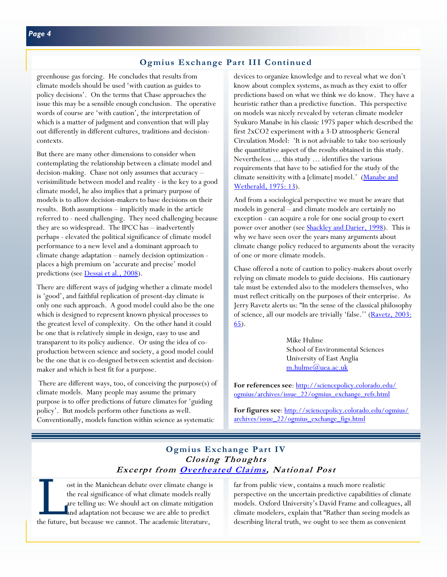### **Ogmius Exchange Part III Continued**

greenhouse gas forcing. He concludes that results from climate models should be used 'with caution as guides to policy decisions'. On the terms that Chase approaches the issue this may be a sensible enough conclusion. The operative words of course are 'with caution', the interpretation of which is a matter of judgment and convention that will play out differently in different cultures, traditions and decisioncontexts.

But there are many other dimensions to consider when contemplating the relationship between a climate model and decision-making. Chase not only assumes that accuracy – verisimilitude between model and reality - is the key to a good climate model, he also implies that a primary purpose of models is to allow decision-makers to base decisions on their results. Both assumptions – implicitly made in the article referred to - need challenging. They need challenging because they are so widespread. The IPCC has – inadvertently perhaps - elevated the political significance of climate model performance to a new level and a dominant approach to climate change adaptation – namely decision optimization places a high premium on 'accurate and precise' model predictions (see **Dessai et al., 2008**).

There are different ways of judging whether a climate model is 'good', and faithful replication of present-day climate is only one such approach. A good model could also be the one which is designed to represent known physical processes to the greatest level of complexity. On the other hand it could be one that is relatively simple in design, easy to use and transparent to its policy audience. Or using the idea of coproduction between science and society, a good model could be the one that is co-designed between scientist and decisionmaker and which is best fit for a purpose.

 There are different ways, too, of conceiving the purpose(s) of climate models. Many people may assume the primary purpose is to offer predictions of future climates for 'guiding policy'. But models perform other functions as well. Conventionally, models function within science as systematic

devices to organize knowledge and to reveal what we don't know about complex systems, as much as they exist to offer predictions based on what we think we do know. They have a heuristic rather than a predictive function. This perspective on models was nicely revealed by veteran climate modeler Syukuro Manabe in his classic 1975 paper which described the first 2xCO2 experiment with a 3-D atmospheric General Circulation Model: 'It is not advisable to take too seriously the quantitative aspect of the results obtained in this study. Nevertheless … this study … identifies the various requirements that have to be satisfied for the study of the climate sensitivity with a [climate] model.' (Manabe and [Wetherald, 1975: 13\).](http://sciencepolicy.colorado.edu/ogmius/archives/issue_22/ogmius_exchange_refs.html) 

And from a sociological perspective we must be aware that models in general – and climate models are certainly no exception - can acquire a role for one social group to exert power over another (see **Shackley and Darier**, 1998). This is why we have seen over the years many arguments about climate change policy reduced to arguments about the veracity of one or more climate models.

Chase offered a note of caution to policy-makers about overly relying on climate models to guide decisions. His cautionary tale must be extended also to the modelers themselves, who must reflect critically on the purposes of their enterprise. As Jerry Ravetz alerts us: "In the sense of the classical philosophy of science, all our models are trivially 'false.'' (Ravetz, 2003:  $65$ ).

> Mike Hulme School of Environmental Sciences University of East Anglia [m.hulme@uea.ac.uk](mailto:m.hulme@uea.ac.uk)

**For references see**: http://sciencepolicy.colorado.edu/ [ogmius/archives/issue\\_22/ogmius\\_exchange\\_refs.html](http://sciencepolicy.colorado.edu/ogmius/archives/issue_22/ogmius_exchange_refs.html)

**For figures see**: http://sciencepolicy.colorado.edu/ogmius/ [archives/issue\\_22/ogmius\\_exchange\\_figs.html](http://sciencepolicy.colorado.edu/ogmius/archives/issue_22/ogmius_exchange_figs.html)

# **Ogmius Exchange Part IV Closing Thoughts Excerpt from [Overheated Claims,](http://network.nationalpost.com/np/blogs/fpcomment/archive/2008/06/17/overheated-claims.aspx) National Post**

ost in the Manichean debate over climate change is<br>the real significance of what climate models really<br>are telling us: We should act on climate mitigation<br>and adaptation not because we are able to predict<br>the future. but b the real significance of what climate models really are telling us: We should act on climate mitigation and adaptation not because we are able to predict the future, but because we cannot. The academic literature,

far from public view, contains a much more realistic perspective on the uncertain predictive capabilities of climate models. Oxford University's David Frame and colleagues, all climate modelers, explain that "Rather than seeing models as describing literal truth, we ought to see them as convenient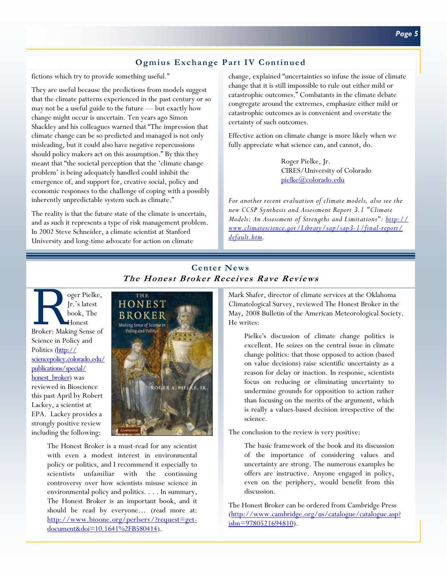### **Ogmius Exchange Part IV Continued**

fictions which try to provide something useful."

They are useful because the predictions from models suggest that the climate patterns experienced in the past century or so may not be a useful guide to the future — but exactly how change might occur is uncertain. Ten years ago Simon Shackley and his colleagues warned that "The impression that climate change can be so predicted and managed is not only misleading, but it could also have negative repercussions should policy makers act on this assumption." By this they meant that "the societal perception that the 'climate change problem' is being adequately handled could inhibit the emergence of, and support for, creative social, policy and economic responses to the challenge of coping with a possibly inherently unpredictable system such as climate."

The reality is that the future state of the climate is uncertain, and as such it represents a type of risk management problem. In 2002 Steve Schneider, a climate scientist at Stanford University and long-time advocate for action on climate

change, explained "uncertainties so infuse the issue of climate change that it is still impossible to rule out either mild or catastrophic outcomes." Combatants in the climate debate congregate around the extremes, emphasize either mild or catastrophic outcomes as is convenient and overstate the certainty of such outcomes.

Effective action on climate change is more likely when we fully appreciate what science can, and cannot, do.

> Roger Pielke, Jr. CIRES/University of Colorado [pielke@colorado.edu](mailto:pielke@colorado.edu)

*For another recent evaluation of climate models, also see the new CCSP Synthesis and Assessment Report 3.1 "Climate [Models: An Assessment of Strengths and Limitations": http://](http://www.climatescience.gov/Library/sap/sap3-1/final-report/default.htm) www.climatescience.gov/Library/sap/sap3-1/final-report/ default.htm.* 

# **Center News The Honest Broker Receives Rave Reviews**

R oger Pielke, Jr.'s latest<br>
book, The<br>
Broker: Making Sense of Jr.'s latest book, The Honest Science in Policy and Politics (http:// [sciencepolicy.colorado.edu/](http://sciencepolicy.colorado.edu/publications/special/honest_broker) publications/special/ honest broker) was reviewed in Bioscience this past April by Robert Lackey, a scientist at EPA. Lackey provides a strongly positive review including the following:



The Honest Broker is a must-read for any scientist with even a modest interest in environmental policy or politics, and I recommend it especially to scientists unfamiliar with the continuing controversy over how scientists misuse science in environmental policy and politics. . . . In summary, The Honest Broker is an important book, and it should be read by everyone… (read more at: [http://www.bioone.org/perlserv/?request=get](http://www.bioone.org/perlserv/?request=get-document&doi=10.1641%2FB580414)document&doi=10.1641%2FB580414).

Mark Shafer, director of climate services at the Oklahoma Climatological Survey, reviewed The Honest Broker in the May, 2008 Bulletin of the American Meteorological Society. He writes:

Pielke's discussion of climate change politics is excellent. He seizes on the central issue in climate change politics: that those opposed to action (based on value decisions) raise scientific uncertainty as a reason for delay or inaction. In response, scientists focus on reducing or eliminating uncertainty to undermine grounds for opposition to action rather than focusing on the merits of the argument, which is really a values-based decision irrespective of the science.

The conclusion to the review is very positive:

The basic framework of the book and its discussion of the importance of considering values and uncertainty are strong. The numerous examples he offers are instructive. Anyone engaged in policy, even on the periphery, would benefit from this discussion.

The Honest Broker can be ordered from Cambridge Press [\(http://www.cambridge.org/us/catalogue/catalogue.asp?](http://www.cambridge.org/us/catalogue/catalogue.asp?isbn=9780521694810) isbn=9780521694810).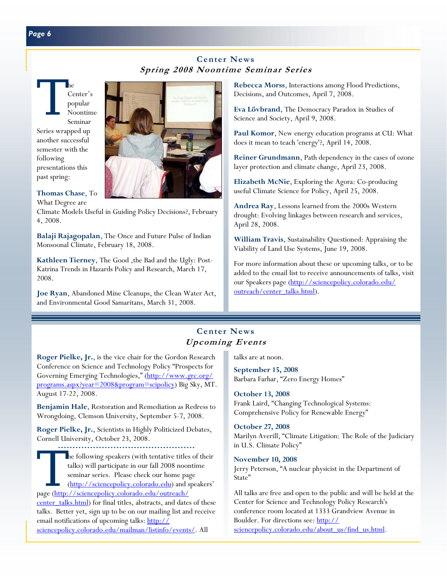# **Center News Spring 2008 Noontime Seminar Series**

The Centre of the Centre of the Centre of the Centre of the Centre of the Centre of the Centre of the Centre of the Centre of the Centre of the Centre of the Centre of the Centre of the Centre of the Centre of the Centre o Center's popular Noontime Seminar Series wrapped up another successful semester with the following presentations this past spring:

### **Thomas Chase**, To

What Degree are Climate Models Useful in Guiding Policy Decisions?, February 4, 2008.

**Balaji Rajagopalan**, The Once and Future Pulse of Indian Monsoonal Climate, February 18, 2008.

**Kathleen Tierney**, The Good ,the Bad and the Ugly: Post-Katrina Trends in Hazards Policy and Research, March 17, 2008.

**Joe Ryan**, Abandoned Mine Cleanups, the Clean Water Act, and Environmental Good Samaritans, March 31, 2008.

**Rebecca Morss**, Interactions among Flood Predictions, Decisions, and Outcomes, April 7, 2008.

**Eva Lövbrand**, The Democracy Paradox in Studies of Science and Society, April 9, 2008.

**Paul Komor**, New energy education programs at CU: What does it mean to teach 'energy'?, April 14, 2008.

**Reiner Grundmann**, Path dependency in the cases of ozone layer protection and climate change, April 23, 2008.

**Elizabeth McNie**, Exploring the Agora: Co-producing useful Climate Science for Policy, April 25, 2008.

**Andrea Ray**, Lessons learned from the 2000s Western drought: Evolving linkages between research and services, April 28, 2008.

**William Travis**, Sustainability Questioned: Appraising the Viability of Land Use Systems, June 19, 2008.

For more information about these or upcoming talks, or to be added to the email list to receive announcements of talks, visit [our Speakers page \(http://sciencepolicy.colorado.edu/](http://sciencepolicy.colorado.edu/outreach/center_talks.html) outreach/center\_talks.html).

# **Center News Upcoming Events**

**Roger Pielke, Jr.**, is the vice chair for the Gordon Research Conference on Science and Technology Policy "Prospects for Governing Emerging Technologies," (http://www.grc.org/ [programs.aspx?year=2008&program=scipolicy\) Big Sky, MT](http://www.grc.org/programs.aspx?year=2008&program=scipolicy). August 17-22, 2008.

**Benjamin Hale**, Restoration and Remediation as Redress to Wrongdoing, Clemson University, September 5-7, 2008.

**Roger Pielke, Jr.**, Scientists in Highly Politicized Debates, Cornell University, October 23, 2008.

The following speakers (with tentative titles of their

talks) will participate in our fall 2008 noontime seminar series. Please check our home page [\(http://sciencepolicy.colorado.edu\)](http://sciencepolicy.colorado.edu) and speakers' page (http://sciencepolicy.colorado.edu/outreach/ [center\\_talks.html\) for final titles, abstracts, and dates](http://sciencepolicy.colorado.edu/outreach/center_talks.html) of these talks. Better yet, sign up to be on our mailing list and receive email notifications of upcoming talks: http:// [sciencepolicy.colorado.edu/mailman/listinfo/events/.](http://sciencepolicy.colorado.edu/mailman/listinfo/events/) All

talks are at noon.

**September 15, 2008**  Barbara Farhar, "Zero Energy Homes"

#### **October 13, 2008**

Frank Laird, "Changing Technological Systems: Comprehensive Policy for Renewable Energy"

#### **October 27, 2008**

Marilyn Averill, "Climate Litigation: The Role of the Judiciary in U.S. Climate Policy"

#### **November 10, 2008**

Jerry Peterson, "A nuclear physicist in the Department of State"

All talks are free and open to the public and will be held at the Center for Science and Technology Policy Research's conference room located at 1333 Grandview Avenue in Boulder. For directions see: http:// sciencepolicy.colorado.edu/about\_us/find\_us.html.

*Page 6* 

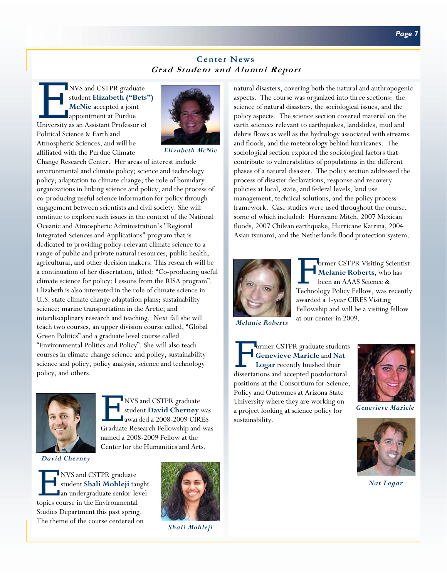### **Center News Grad Student and Alumni Report**

NVS and CSTPR graduate<br>
student Elizabeth ("Bets"<br>
McNie accepted a joint<br>
appointment at Purdue<br>
University as an Assistant Professor of student **Elizabeth ("Bets") McNie** accepted a joint appointment at Purdue Political Science & Earth and Atmospheric Sciences, and will be affiliated with the Purdue Climate



*Elizabeth McNie* 

Change Research Center. Her areas of interest include environmental and climate policy; science and technology policy; adaptation to climate change; the role of boundary organizations in linking science and policy; and the process of co-producing useful science information for policy through engagement between scientists and civil society. She will continue to explore such issues in the context of the National Oceanic and Atmospheric Administration's "Regional Integrated Sciences and Applications" program that is dedicated to providing policy-relevant climate science to a range of public and private natural resources, public health, agricultural, and other decision makers. This research will be a continuation of her dissertation, titled: "Co-producing useful climate science for policy: Lessons from the RISA program". Elizabeth is also interested in the role of climate science in U.S. state climate change adaptation plans; sustainability science; marine transportation in the Arctic; and interdisciplinary research and teaching. Next fall she will teach two courses, an upper division course called, "Global Green Politics" and a graduate level course called "Environmental Politics and Policy". She will also teach courses in climate change science and policy, sustainability science and policy, policy analysis, science and technology policy, and others.



NVS and CSTPR graduate<br>student David Cherney student **David Cherney** was awarded a 2008-2009 CIRES Graduate Research Fellowship and was named a 2008-2009 Fellow at the Center for the Humanities and Arts.

*David Cherney* 

NVS and CSTPR graduate<br>
student Shali Mohleji taught<br>
an undergraduate senior-level student **Shali Mohleji** taught topics course in the Environmental Studies Department this past spring. The theme of the course centered on



*Shali Mohleji* 

natural disasters, covering both the natural and anthropogenic aspects. The course was organized into three sections: the science of natural disasters, the sociological issues, and the policy aspects. The science section covered material on the earth sciences relevant to earthquakes, landslides, mud and debris flows as well as the hydrology associated with streams and floods, and the meteorology behind hurricanes. The sociological section explored the sociological factors that contribute to vulnerabilities of populations in the different phases of a natural disaster. The policy section addressed the process of disaster declarations, response and recovery policies at local, state, and federal levels, land use management, technical solutions, and the policy process framework. Case studies were used throughout the course, some of which included: Hurricane Mitch, 2007 Mexican floods, 2007 Chilean earthquake, Hurricane Katrina, 2004 Asian tsunami, and the Netherlands flood protection system.



**Jormer CSTPR Visiting Scientist Melanie Roberts**, who has been an AAAS Science & Technology Policy Fellow, was recently awarded a 1-year CIRES Visiting Fellowship and will be a visiting fellow at our center in 2009.

*Melanie Roberts* 

F ormer CSTPR graduate students **Genevieve Maricle** and **Nat Logar** recently finished their dissertations and accepted postdoctoral positions at the Consortium for Science, Policy and Outcomes at Arizona State University where they are working on a project looking at science policy for sustainability.



*Genevieve Maricle* 



*Nat Logar*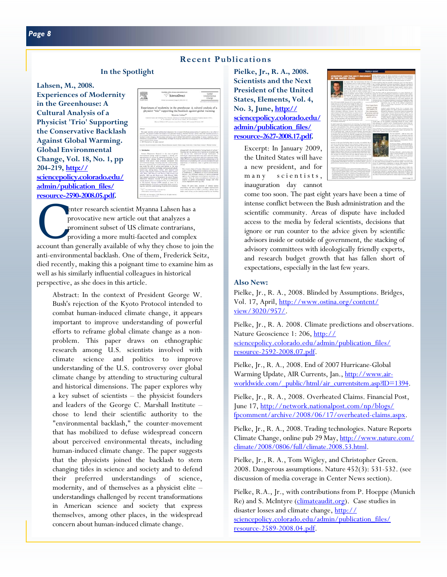### **Recent Publications**

#### **In the Spotlight**

**Lahsen, M., 2008. Experiences of Modernity in the Greenhouse: A Cultural Analysis of a Physicist 'Trio' Supporting the Conservative Backlash Against Global Warming. Global Environmental Change, Vol. 18, No. 1, pp 204-219, http:// [sciencepolicy.colorado.edu/](http://sciencepolicy.colorado.edu/admin/publication_files/resource-2590-2008.05.pdf) admin/publication\_files/ resource-2590-2008.05.pdf.** 

| <b>ELM310</b>                                                                                      | Available prising at www.scientialtheck.com<br>"ScienceDirect<br>Hirtul Raccommunical Europe 18 (1999); Site 218-                                                                                                                                                                                                                                                                                                                                                                                                                                                                                |                                     | <b>Grahal</b><br>fruintenental<br>Charler<br>trees, discover, com, bloods all permitted                                                                                                                                                                                                                                                                                                                            |
|----------------------------------------------------------------------------------------------------|--------------------------------------------------------------------------------------------------------------------------------------------------------------------------------------------------------------------------------------------------------------------------------------------------------------------------------------------------------------------------------------------------------------------------------------------------------------------------------------------------------------------------------------------------------------------------------------------------|-------------------------------------|--------------------------------------------------------------------------------------------------------------------------------------------------------------------------------------------------------------------------------------------------------------------------------------------------------------------------------------------------------------------------------------------------------------------|
|                                                                                                    | Experiences of modernity in the greenhouse: A cultural analysis of a<br>physicist "trio" supporting the backlash against global warming<br>Line or Sales ad Schoolst Price Brook Editorial of Consult and British Sender & Property Sector (SEP).<br>At the thirdeness. (The St. And the Campus, SP (CCP)(et) that's<br>Reserved 10 World 2017, received in Assault Street Editorium 2007, accounts 24 Editorium 2007.                                                                                                                                                                           | Missous Labor."                     |                                                                                                                                                                                                                                                                                                                                                                                                                    |
| <b>Manuel</b>                                                                                      | The paper simples rations and leveling dimensions that enteries (16 offices arena policies 3) righting lets a late reflect of                                                                                                                                                                                                                                                                                                                                                                                                                                                                    |                                     | alances: the physics fooders and leaders of the influence Carros C. Marshal bestrain colour to level that advertise authority to                                                                                                                                                                                                                                                                                   |
|                                                                                                    | its measure with contract is previous than Uk clean auto. The puter expert that then planting treat he performantal<br>builded to some changing him in actions and uncare, and to defined their positions are entirely of actions, moderate, and of<br>Buttraches as a streame aftir. Commissions charlesped to an army constructions assumed out the achievement accuracy should                                                                                                                                                                                                                |                                     |                                                                                                                                                                                                                                                                                                                                                                                                                    |
| harmon induced choose change.<br>c. 347 Eleron Ltd. All rights married<br><b>Allegand</b> Johnsons | of terminals. Boost dimension means a change of party and a change of the contract of the contract of the contract of the contract of the contract of the contract of the contract of the contract of the contract of the cont                                                                                                                                                                                                                                                                                                                                                                   |                                     | shange stuff, what he termed a "termin theory of solices."                                                                                                                                                                                                                                                                                                                                                         |
| 1. Introduction                                                                                    | Homes Departments Research in the area of girling<br>announcement also as about spherical language<br>experiments of pulsate. It comments insures of it as<br>sist any factor several effects, a non-percent factor<br>approve from externe wood prospects possibled with<br>printemental change, including warning couperbanksa.<br>However, a prowing wea of achoicenter systems the head to<br>also will on eaching and policy as the rate                                                                                                                                                    | sharps: 1990 control                | Arguing that the severitial role of aiterset in our present age<br>only can be fully anderstood through exposuration of<br>released the han when the reducing the dealer<br>itgs solemned in instructions and other personal forms"<br>Und a Postor concluded the article by presenting on the<br>important of associate to a cultural assistance and<br>positionals of modernity relate to attribut environmental |
|                                                                                                    | studies interest los scheroids aliment lo neitecte<br>calons (see, placed story, Foclar, 200). Issued and<br>Woon, 1996. Assembly and Long Mariallo, 2004. Labora.<br>1444, 2001), 2007, Raynet and Mairea, 1998; Stapit and<br>Artistics, 1983; can der Kuns et al., 1998; Wyens, 1990).<br>Raph research aircrainer to be waive to the grew of Human<br>Descriptor Research Incomed on global attenuanceals<br>chenge, despite alliers in change the fact. Br & 1998 artists<br>at the boycal. Freezer 17800; acquad to facer of a<br>presentationism of culture as a perceive factor email of | Future explanations away? (p. 24ft) | That provide situate of framers alemanaers mayors. Huis<br>musts to be the differentiated condition and experience.<br>of moderata 1. 1 Moderata is full of sufferst course-<br>delives the prelease matters of nature compressed<br>against the burgerous emissionated movement, for<br>month. How do thee contraditions influence and<br>tested to given economical charge, and when                             |

enter research scientist Myanna Lahsen has a<br>provocative new article out that analyzes a<br>prominent subset of US climate contrarians,<br>providing a more multi-faceted and complex<br>account than generally available of why they c provocative new article out that analyzes a prominent subset of US climate contrarians, providing a more multi-faceted and complex account than generally available of why they chose to join the anti-environmental backlash. One of them, Frederick Seitz, died recently, making this a poignant time to examine him as well as his similarly influential colleagues in historical perspective, as she does in this article.

Abstract: In the context of President George W. Bush's rejection of the Kyoto Protocol intended to combat human-induced climate change, it appears important to improve understanding of powerful efforts to reframe global climate change as a nonproblem. This paper draws on ethnographic research among U.S. scientists involved with climate science and politics to improve understanding of the U.S. controversy over global climate change by attending to structuring cultural and historical dimensions. The paper explores why a key subset of scientists – the physicist founders and leaders of the George C. Marshall Institute – chose to lend their scientific authority to the "environmental backlash," the counter-movement that has mobilized to defuse widespread concern about perceived environmental threats, including human-induced climate change. The paper suggests that the physicists joined the backlash to stem changing tides in science and society and to defend their preferred understandings of science, modernity, and of themselves as a physicist elite – understandings challenged by recent transformations in American science and society that express themselves, among other places, in the widespread concern about human-induced climate change.

**Pielke, Jr., R. A., 2008. Scientists and the Next President of the United States, Elements, Vol. 4, No. 3, June, http:// [sciencepolicy.colorado.edu/](http://sciencepolicy.colorado.edu/admin/publication_files/resource-2627-2008.17.pdf) admin/publication\_files/ resource-2627-2008.17.pdf.** 

> Excerpt: In January 2009, the United States will have a new president, and for m any scientists, inauguration day cannot



come too soon. The past eight years have been a time of intense conflict between the Bush administration and the scientific community. Areas of dispute have included access to the media by federal scientists, decisions that ignore or run counter to the advice given by scientific advisors inside or outside of government, the stacking of advisory committees with ideologically friendly experts, and research budget growth that has fallen short of expectations, especially in the last few years.

#### **Also New:**

Pielke, Jr., R. A., 2008. Blinded by Assumptions. Bridges, [Vol. 17, April, http://www.ostina.org/content/](http://www.ostina.org/content/view/3020/957/) view/3020/957/.

Pielke, Jr., R. A. 2008. Climate predictions and observations. Nature Geoscience 1: 206, http:// [sciencepolicy.colorado.edu/admin/publication\\_files/](http://sciencepolicy.colorado.edu/admin/publication_files/resource-2592-2008.07.pdf) resource-2592-2008.07.pdf.

Pielke, Jr., R. A., 2008. End of 2007 Hurricane-Global Warming Update, AIR Currents, Jan., http://www.airworldwide.com/\_public/html/air\_currentsitem.asp?ID=1394.

Pielke, Jr., R. A., 2008. Overheated Claims. Financial Post, June 17, http://network.nationalpost.com/np/blogs/ [fpcomment/archive/2008/06/17/overheated-claims.aspx.](http://network.nationalpost.com/np/blogs/fpcomment/archive/2008/06/17/overheated-claims.aspx) 

Pielke, Jr., R. A., 2008. Trading technologies. Nature Reports [Climate Change, online pub 29 May, http://www.nature.com/](http://www.nature.com/climate/2008/0806/full/climate.2008.53.html) climate/2008/0806/full/climate.2008.53.html.

Pielke, Jr., R. A., Tom Wigley, and Christopher Green. 2008. Dangerous assumptions. Nature 452(3): 531-532. (see discussion of media coverage in Center News section).

Pielke, R.A., Jr., with contributions from P. Hoeppe (Munich Re) and S. McIntyre (*climateaudit.org*). Case studies in disaster losses and climate change, http:// [sciencepolicy.colorado.edu/admin/publication\\_files/](http://sciencepolicy.colorado.edu/admin/publication_files/resource-2589-2008.04.pdf) resource-2589-2008.04.pdf.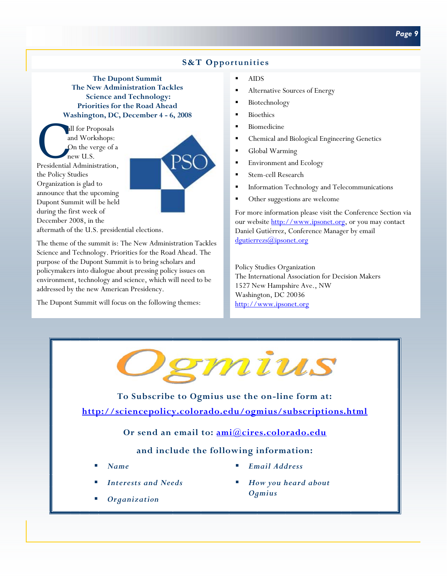# **S&T Opportunities**

**The Dupont Summit The New Administration Tackles Science and Technology: Priorities for the Road Ahead Washington, DC, December 4 - 6, 2008** 

all for Proposals<br>
and Workshops:<br>
On the verge of a<br>
new U.S.<br>
Presidential Administration, and Workshops: On the verge of a new U.S. the Policy Studies Organization is glad to announce that the upcoming Dupont Summit will be held during the first week of December 2008, in the



aftermath of the U.S. presidential elections.

The theme of the summit is: The New Administration Tackles Science and Technology. Priorities for the Road Ahead. The purpose of the Dupont Summit is to bring scholars and policymakers into dialogue about pressing policy issues on environment, technology and science, which will need to be addressed by the new American Presidency.

The Dupont Summit will focus on the following themes:

- AIDS
- Alternative Sources of Energy
- Biotechnology
- **Bioethics**
- **Biomedicine**
- **•** Chemical and Biological Engineering Genetics
- Global Warming
- **Environment and Ecology**
- **Stem-cell Research**
- **Information Technology and Telecommunications**
- **•** Other suggestions are welcome

For more information please visit the Conference Section via our websit[e http://www.ipsonet.org,](http://www.ipsonet.org) or you may contact Daniel Gutiérrez, Conference Manager by email [dgutierrezs@ipsonet.org](mailto:dgutierrezs@ipsonet.org)

Policy Studies Organization The International Association for Decision Makers 1527 New Hampshire Ave., NW Washington, DC 20036 <http://www.ipsonet.org>

|  | Demuus |
|--|--------|
|  |        |

**To Subscribe to Ogmius use the on-line form at: <http://sciencepolicy.colorado.edu/ogmius/subscriptions.html>**

**Or send an email to: [ami@cires.colorado.edu](mailto:ami@cires.colorado.edu)**

### **and include the following information:**

- *Name*
- *Interests and Needs*
- *Organization*
- *Email Address*
- *How you heard about Ogmius*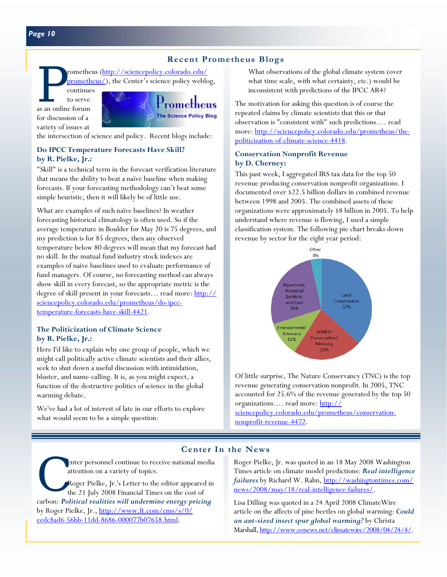### **Recent Prometheus Blogs**

[prometheus/\), the Center's science policy weblog](http://sciencepolicy.colorado.edu/prometheus/), continues

to serve as an online forum for discussion of a variety of issues at



the intersection of science and policy. Recent blogs include:

### **Do IPCC Temperature Forecasts Have Skill? by R. Pielke, Jr.:**

"Skill" is a technical term in the forecast verification literature that means the ability to beat a naïve baseline when making forecasts. If your forecasting methodology can't beat some simple heuristic, then it will likely be of little use.

What are examples of such naïve baselines? In weather forecasting historical climatology is often used. So if the average temperature in Boulder for May 20 is 75 degrees, and my prediction is for 85 degrees, then any observed temperature below 80 degrees will mean that my forecast had no skill. In the mutual fund industry stock indexes are examples of naive baselines used to evaluate performance of fund managers. Of course, no forecasting method can always show skill in every forecast, so the appropriate metric is the [degree of skill present in your forecasts… read more: http://](http://sciencepolicy.colorado.edu/prometheus/do-ipcc-temperature-forecasts-have-skill-4421) sciencepolicy.colorado.edu/prometheus/do-ipcctemperature-forecasts-have-skill-4421.

### **The Politicization of Climate Science by R. Pielke, Jr.:**

Here I'd like to explain why one group of people, which we might call politically active climate scientists and their allies, seek to shut down a useful discussion with intimidation, bluster, and name-calling. It is, as you might expect, a function of the destructive politics of science in the global warming debate.

We've had a lot of interest of late in our efforts to explore what would seem to be a simple question:

What observations of the global climate system (over what time scale, with what certainty, etc.) would be inconsistent with predictions of the IPCC AR4?

The motivation for asking this question is of course the repeated claims by climate scientists that this or that observation is "consistent with" such predictions.… read [more: http://sciencepolicy.colorado.edu/prometheus/the](http://sciencepolicy.colorado.edu/prometheus/the-politicization-of-climate-science-4418)politicization-of-climate-science-4418.

### **Conservation Nonprofit Revenue by D. Cherney:**

This past week, I aggregated IRS tax data for the top 50 revenue producing conservation nonprofit organizations. I documented over \$22.5 billion dollars in combined revenue between 1998 and 2005. The combined assets of these organizations were approximately \$8 billion in 2005. To help understand where revenue is flowing, I used a simple classification system. The following pie chart breaks down revenue by sector for the eight year period:



Of little surprise, The Nature Conservancy (TNC) is the top revenue generating conservation nonprofit. In 2005, TNC accounted for 25.6% of the revenue generated by the top 50 organizations.... read more: http://

[sciencepolicy.colorado.edu/prometheus/conservation](http://sciencepolicy.colorado.edu/prometheus/conservation-nonprofit-revenue-4472)nonprofit-revenue-4472.

# **Center In the News**

attention on a variety of topics.

enter personnel continue to receive national media<br>
attention on a variety of topics.<br>
Roger Pielke, Jr.'s Letter to the editor appeared in<br>
the 21 July 2008 Financial Times on the cost of Roger Pielke, Jr.'s Letter to the editor appeared in carbon: *Political realities will undermine energy pricing*  [by Roger Pielke, Jr., http://www.ft.com/cms/s/0/](http://www.ft.com/cms/s/0/eedc8ad6-56bb-11dd-8686-000077b07658.html) eedc8ad6-56bb-11dd-8686-000077b07658.html.

Roger Pielke, Jr. was quoted in an 18 May 2008 Washington Times article on climate model predictions: *Real intelligence failures* [by Richard W. Rahn, http://washingtontimes.com/](http://washingtontimes.com/news/2008/may/18/real-intelligence-failures/) news/2008/may/18/real-intelligence-failures/.

Lisa Dilling was quoted in a 24 April 2008 ClimateWire article on the affects of pine beetles on global warming: *Could an ant-sized insect spur global warming?* by Christa Marshall[, http://www.eenews.net/climatewire/2008/04/24/4/.](http://www.eenews.net/climatewire/2008/04/24/4/)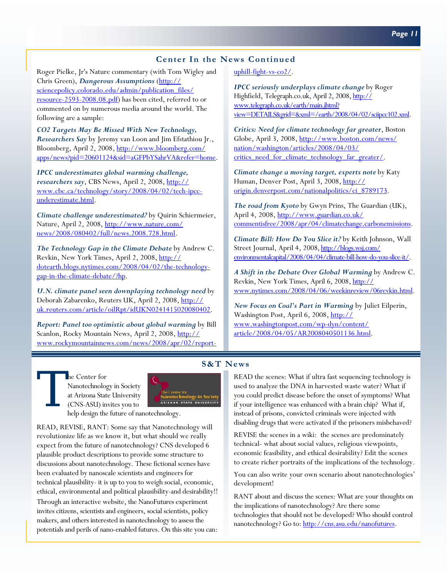# **Center In the News Continued**

Roger Pielke, Jr's Nature commentary (with Tom Wigley and Chris Green), *Dangerous Assumptions* (http:// sciencepolicy.colorado.edu/admin/publication\_files/ [resource-2593-2008.08.pdf\) has been cited, referred to](http://sciencepolicy.colorado.edu/admin/publication_files/resource-2593-2008.08.pdf) or commented on by numerous media around the world. The following are a sample:

*CO2 Targets May Be Missed With New Technology, Researchers Say* by Jeremy van Loon and Jim Efstathiou Jr., Bloomberg, April 2, 2008, http://www.bloomberg.com/ [apps/news?pid=20601124&sid=aGFPbYSahrVA&refer=home.](http://www.bloomberg.com/apps/news?pid=20601124&sid=aGFPbYSahrVA&refer=home) 

*IPCC underestimates global warming challenge, researchers say*, CBS News, April 2, 2008, http:// [www.cbc.ca/technology/story/2008/04/02/tech-ipcc](http://www.cbc.ca/technology/story/2008/04/02/tech-ipcc-underestimate.html)underestimate.html.

*Climate challenge underestimated?* by Quirin Schiermeier, [Nature, April 2, 2008, http://www.nature.com/](http://www.nature.com/news/2008/080402/full/news.2008.728.html) news/2008/080402/full/news.2008.728.html.

*The Technology Gap in the Climate Debate* by Andrew C. Revkin, New York Times, April 2, 2008, http:// [dotearth.blogs.nytimes.com/2008/04/02/the-technology](http://dotearth.blogs.nytimes.com/2008/04/02/the-technology-gap-in-the-climate-debate/?hp)gap-in-the-climate-debate/?hp.

*U.N. climate panel seen downplaying technology need* by Deborah Zabarenko, Reuters UK, April 2, 2008, http:// [uk.reuters.com/article/oilRpt/idUKN0241415020080402.](http://uk.reuters.com/article/oilRpt/idUKN0241415020080402) 

*Report: Panel too optimistic about global warming* by Bill Scanlon, Rocky Mountain News, April 2, 2008, http:// [www.rockymountainnews.com/news/2008/apr/02/report-](http://www.rockymountainnews.com/news/2008/apr/02/report-uphill-fight-vs-co2/) [uphill-fight-vs-co2/.](http://www.rockymountainnews.com/news/2008/apr/02/report-uphill-fight-vs-co2/) 

*IPCC seriously underplays climate change* by Roger Highfield, Telegraph.co.uk, April 2, 2008, http:// www.telegraph.co.uk/earth/main.jhtml? [view=DETAILS&grid=&xml=/earth/2008/04/02/sciipcc102.xml.](http://www.telegraph.co.uk/earth/main.jhtml?view=DETAILS&grid=&xml=/earth/2008/04/02/sciipcc102.xml) 

*Critics: Need for climate technology far greater*, Boston [Globe, April 3, 2008, http://www.boston.com/news/](http://www.boston.com/news/nation/washington/articles/2008/04/03/critics_need_for_climate_technology_far_greater/) nation/washington/articles/2008/04/03/ critics need for climate technology far greater/.

*Climate change a moving target, experts note* by Katy Human, Denver Post, April 3, 2008, http:// [origin.denverpost.com/nationalpolitics/ci\\_8789173.](http://origin.denverpost.com/nationalpolitics/ci_8789173) 

*The road from Kyoto* by Gwyn Prins, The Guardian (UK), April 4, 2008, http://www.guardian.co.uk/ [commentisfree/2008/apr/04/climatechange.carbonemissions.](http://www.guardian.co.uk/commentisfree/2008/apr/04/climatechange.carbonemissions) 

*Climate Bill: How Do You Slice it?* by Keith Johnson, Wall Street Journal, April 4, 2008, http://blogs.wsj.com/ [environmentalcapital/2008/04/04/climate-bill-how-do-you-slice-it/.](http://blogs.wsj.com/environmentalcapital/2008/04/04/climate-bill-how-do-you-slice-it/) 

*A Shift in the Debate Over Global Warming* by Andrew C. Revkin, New York Times, April 6, 2008, http:// [www.nytimes.com/2008/04/06/weekinreview/06revkin.html.](http://www.nytimes.com/2008/04/06/weekinreview/06revkin.html) 

*New Focus on Coal's Part in Warming* by Juliet Eilperin, Washington Post, April 6, 2008, http:// www.washingtonpost.com/wp-dyn/content/ [article/2008/04/05/AR2008040501136.html.](http://www.washingtonpost.com/wp-dyn/content/article/2008/04/05/AR2008040501136.html) 

The Center for<br>
Nanotechnolog<br>
at Arizona State<br>
(CNS-ASU) in<br>
help design the Nanotechnology in Society at Arizona State University (CNS-ASU) invites you to



help design the future of nanotechnology.

READ, REVISE, RANT: Some say that Nanotechnology will revolutionize life as we know it, but what should we really expect from the future of nanotechnology? CNS developed 6 plausible product descriptions to provide some structure to discussions about nanotechnology. These fictional scenes have been evaluated by nanoscale scientists and engineers for technical plausibility- it is up to you to weigh social, economic, ethical, environmental and political plausibility-and desirability!!

Through an interactive website, the NanoFutures experiment invites citizens, scientists and engineers, social scientists, policy makers, and others interested in nanotechnology to assess the potentials and perils of nano-enabled futures. On this site you can:

### **S&T News**

READ the scenes: What if ultra fast sequencing technology is used to analyze the DNA in harvested waste water? What if you could predict disease before the onset of symptoms? What if your intelligence was enhanced with a brain chip? What if, instead of prisons, convicted criminals were injected with disabling drugs that were activated if the prisoners misbehaved?

REVISE the scenes in a wiki: the scenes are predominately technical- what about social values, religious viewpoints, economic feasibility, and ethical desirability? Edit the scenes to create richer portraits of the implications of the technology.

You can also write your own scenario about nanotechnologies' development!

RANT about and discuss the scenes: What are your thoughts on the implications of nanotechnology? Are there some technologies that should not be developed? Who should control nanotechnology? Go to[: http://cns.asu.edu/nanofutures.](http://cns.asu.edu/nanofutures)